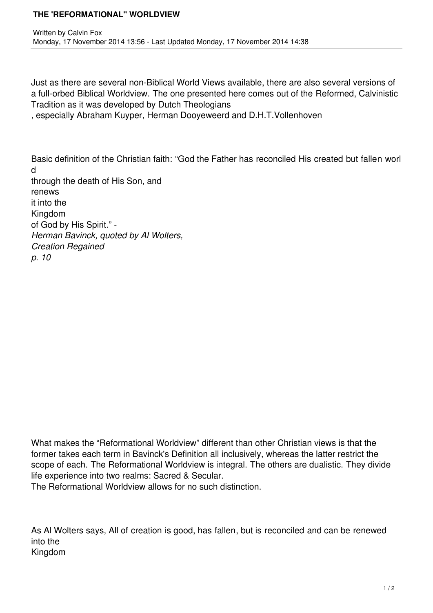## **THE 'REFORMATIONAL" WORLDVIEW**

Just as there are several non-Biblical World Views available, there are also several versions of a full-orbed Biblical Worldview. The one presented here comes out of the Reformed, Calvinistic Tradition as it was developed by Dutch Theologians

, especially Abraham Kuyper, Herman Dooyeweerd and D.H.T.Vollenhoven

Basic definition of the Christian faith: "God the Father has reconciled His created but fallen worl d through the death of His Son, and renews it into the Kingdom of God by His Spirit." - *Herman Bavinck, quoted by Al Wolters, Creation Regained p. 10*

What makes the "Reformational Worldview" different than other Christian views is that the former takes each term in Bavinck's Definition all inclusively, whereas the latter restrict the scope of each. The Reformational Worldview is integral. The others are dualistic. They divide life experience into two realms: Sacred & Secular.

The Reformational Worldview allows for no such distinction.

As Al Wolters says, All of creation is good, has fallen, but is reconciled and can be renewed into the Kingdom